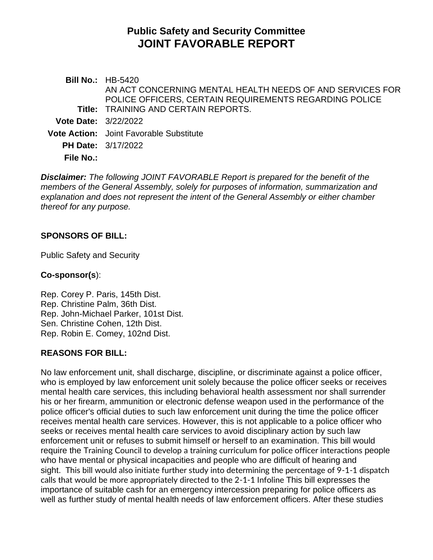# **Public Safety and Security Committee JOINT FAVORABLE REPORT**

**Bill No.:** HB-5420 **Title:** TRAINING AND CERTAIN REPORTS. AN ACT CONCERNING MENTAL HEALTH NEEDS OF AND SERVICES FOR POLICE OFFICERS, CERTAIN REQUIREMENTS REGARDING POLICE **Vote Date:** 3/22/2022 **Vote Action:** Joint Favorable Substitute **PH Date:** 3/17/2022 **File No.:**

*Disclaimer: The following JOINT FAVORABLE Report is prepared for the benefit of the members of the General Assembly, solely for purposes of information, summarization and explanation and does not represent the intent of the General Assembly or either chamber thereof for any purpose.*

# **SPONSORS OF BILL:**

Public Safety and Security

## **Co-sponsor(s**):

Rep. Corey P. Paris, 145th Dist. Rep. Christine Palm, 36th Dist. Rep. John-Michael Parker, 101st Dist. Sen. Christine Cohen, 12th Dist. Rep. Robin E. Comey, 102nd Dist.

# **REASONS FOR BILL:**

No law enforcement unit, shall discharge, discipline, or discriminate against a police officer, who is employed by law enforcement unit solely because the police officer seeks or receives mental health care services, this including behavioral health assessment nor shall surrender his or her firearm, ammunition or electronic defense weapon used in the performance of the police officer's official duties to such law enforcement unit during the time the police officer receives mental health care services. However, this is not applicable to a police officer who seeks or receives mental health care services to avoid disciplinary action by such law enforcement unit or refuses to submit himself or herself to an examination. This bill would require the Training Council to develop a training curriculum for police officer interactions people who have mental or physical incapacities and people who are difficult of hearing and sight. This bill would also initiate further study into determining the percentage of 9-1-1 dispatch calls that would be more appropriately directed to the 2-1-1 Infoline This bill expresses the importance of suitable cash for an emergency intercession preparing for police officers as well as further study of mental health needs of law enforcement officers. After these studies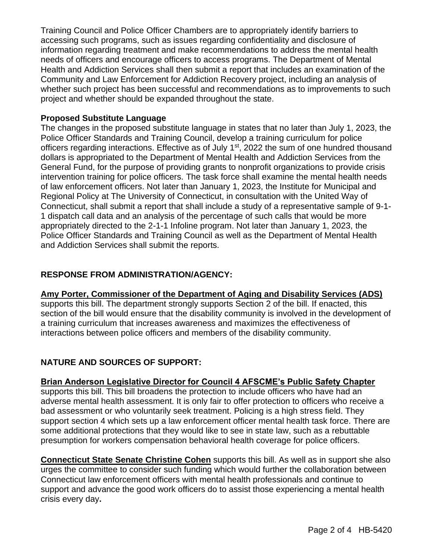Training Council and Police Officer Chambers are to appropriately identify barriers to accessing such programs, such as issues regarding confidentiality and disclosure of information regarding treatment and make recommendations to address the mental health needs of officers and encourage officers to access programs. The Department of Mental Health and Addiction Services shall then submit a report that includes an examination of the Community and Law Enforcement for Addiction Recovery project, including an analysis of whether such project has been successful and recommendations as to improvements to such project and whether should be expanded throughout the state.

## **Proposed Substitute Language**

The changes in the proposed substitute language in states that no later than July 1, 2023, the Police Officer Standards and Training Council, develop a training curriculum for police officers regarding interactions. Effective as of July 1<sup>st</sup>, 2022 the sum of one hundred thousand dollars is appropriated to the Department of Mental Health and Addiction Services from the General Fund, for the purpose of providing grants to nonprofit organizations to provide crisis intervention training for police officers. The task force shall examine the mental health needs of law enforcement officers. Not later than January 1, 2023, the Institute for Municipal and Regional Policy at The University of Connecticut, in consultation with the United Way of Connecticut, shall submit a report that shall include a study of a representative sample of 9-1- 1 dispatch call data and an analysis of the percentage of such calls that would be more appropriately directed to the 2-1-1 Infoline program. Not later than January 1, 2023, the Police Officer Standards and Training Council as well as the Department of Mental Health and Addiction Services shall submit the reports.

## **RESPONSE FROM ADMINISTRATION/AGENCY:**

## **Amy Porter, Commissioner of the Department of Aging and Disability Services (ADS)**

supports this bill. The department strongly supports Section 2 of the bill. If enacted, this section of the bill would ensure that the disability community is involved in the development of a training curriculum that increases awareness and maximizes the effectiveness of interactions between police officers and members of the disability community.

# **NATURE AND SOURCES OF SUPPORT:**

## **Brian Anderson Legislative Director for Council 4 AFSCME's Public Safety Chapter**

supports this bill. This bill broadens the protection to include officers who have had an adverse mental health assessment. It is only fair to offer protection to officers who receive a bad assessment or who voluntarily seek treatment. Policing is a high stress field. They support section 4 which sets up a law enforcement officer mental health task force. There are some additional protections that they would like to see in state law, such as a rebuttable presumption for workers compensation behavioral health coverage for police officers.

**Connecticut State Senate Christine Cohen** supports this bill. As well as in support she also urges the committee to consider such funding which would further the collaboration between Connecticut law enforcement officers with mental health professionals and continue to support and advance the good work officers do to assist those experiencing a mental health crisis every day**.**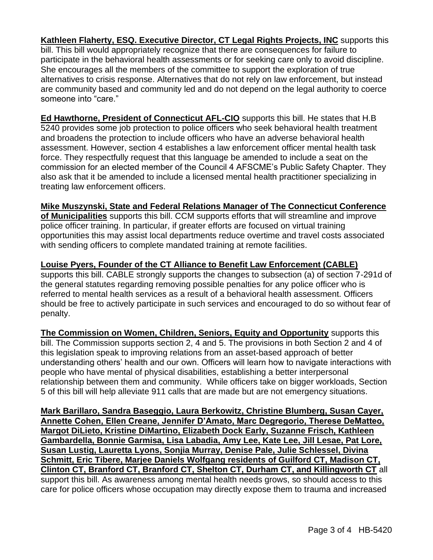**Kathleen Flaherty, ESQ. Executive Director, CT Legal Rights Projects, INC** supports this bill. This bill would appropriately recognize that there are consequences for failure to participate in the behavioral health assessments or for seeking care only to avoid discipline. She encourages all the members of the committee to support the exploration of true alternatives to crisis response. Alternatives that do not rely on law enforcement, but instead are community based and community led and do not depend on the legal authority to coerce someone into "care."

**Ed Hawthorne, President of Connecticut AFL-CIO** supports this bill. He states that H.B 5240 provides some job protection to police officers who seek behavioral health treatment and broadens the protection to include officers who have an adverse behavioral health assessment. However, section 4 establishes a law enforcement officer mental health task force. They respectfully request that this language be amended to include a seat on the commission for an elected member of the Council 4 AFSCME's Public Safety Chapter. They also ask that it be amended to include a licensed mental health practitioner specializing in treating law enforcement officers.

## **Mike Muszynski, State and Federal Relations Manager of The Connecticut Conference**

**of Municipalities** supports this bill. CCM supports efforts that will streamline and improve police officer training. In particular, if greater efforts are focused on virtual training opportunities this may assist local departments reduce overtime and travel costs associated with sending officers to complete mandated training at remote facilities.

## **Louise Pyers, Founder of the CT Alliance to Benefit Law Enforcement (CABLE)**

supports this bill. CABLE strongly supports the changes to subsection (a) of section 7-291d of the general statutes regarding removing possible penalties for any police officer who is referred to mental health services as a result of a behavioral health assessment. Officers should be free to actively participate in such services and encouraged to do so without fear of penalty.

**The Commission on Women, Children, Seniors, Equity and Opportunity** supports this bill. The Commission supports section 2, 4 and 5. The provisions in both Section 2 and 4 of this legislation speak to improving relations from an asset-based approach of better understanding others' health and our own. Officers will learn how to navigate interactions with people who have mental of physical disabilities, establishing a better interpersonal relationship between them and community. While officers take on bigger workloads, Section 5 of this bill will help alleviate 911 calls that are made but are not emergency situations.

**Mark Barillaro, Sandra Baseggio, Laura Berkowitz, Christine Blumberg, Susan Cayer, Annette Cohen, Ellen Creane, Jennifer D'Amato, Marc Degregorio, Therese DeMatteo, Margot DiLieto, Kristine DiMartino, Elizabeth Dock Early, Suzanne Frisch, Kathleen Gambardella, Bonnie Garmisa, Lisa Labadia, Amy Lee, Kate Lee, Jill Lesae, Pat Lore, Susan Lustig, Lauretta Lyons, Sonjia Murray, Denise Pale, Julie Schlessel, Divina Schmitt, Eric Tibere, Marjee Daniels Wolfgang residents of Guilford CT, Madison CT, Clinton CT, Branford CT, Branford CT, Shelton CT, Durham CT, and Killingworth CT** all support this bill. As awareness among mental health needs grows, so should access to this care for police officers whose occupation may directly expose them to trauma and increased